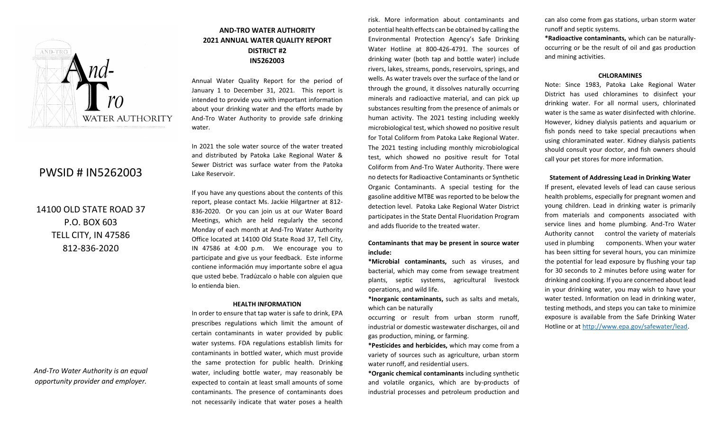

# PWSID # IN5262003

14100 OLD STATE ROAD 37 P.O. BOX 603 TELL CITY, IN 47586 812-836-2020

*And-Tro Water Authority is an equal opportunity provider and employer.*

# **AND-TRO WATER AUTHORITY 2021 ANNUAL WATER QUALITY REPORT DISTRICT #2 IN5262003**

Annual Water Quality Report for the period of January 1 to December 31, 2021. This report is intended to provide you with important information about your drinking water and the efforts made by And-Tro Water Authority to provide safe drinking water.

In 2021 the sole water source of the water treated and distributed by Patoka Lake Regional Water & Sewer District was surface water from the Patoka Lake Reservoir.

If you have any questions about the contents of this report, please contact Ms. Jackie Hilgartner at 812- 836-2020. Or you can join us at our Water Board Meetings, which are held regularly the second Monday of each month at And-Tro Water Authority Office located at 14100 Old State Road 37, Tell City, IN 47586 at 4:00 p.m. We encourage you to participate and give us your feedback. Este informe contiene información muy importante sobre el agua que usted bebe. Tradúzcalo o hable con alguien que lo entienda bien.

#### **HEALTH INFORMATION**

In order to ensure that tap water is safe to drink, EPA prescribes regulations which limit the amount of certain contaminants in water provided by public water systems. FDA regulations establish limits for contaminants in bottled water, which must provide the same protection for public health. Drinking water, including bottle water, may reasonably be expected to contain at least small amounts of some contaminants. The presence of contaminants does not necessarily indicate that water poses a health

risk. More information about contaminants and potential health effects can be obtained by calling the Environmental Protection Agency's Safe Drinking Water Hotline at 800-426-4791. The sources of drinking water (both tap and bottle water) include rivers, lakes, streams, ponds, reservoirs, springs, and wells. As water travels over the surface of the land or through the ground, it dissolves naturally occurring minerals and radioactive material, and can pick up substances resulting from the presence of animals or human activity. The 2021 testing including weekly microbiological test, which showed no positive result for Total Coliform from Patoka Lake Regional Water. The 2021 testing including monthly microbiological test, which showed no positive result for Total Coliform from And-Tro Water Authority. There were no detects for Radioactive Contaminants or Synthetic Organic Contaminants. A special testing for the gasoline additive MTBE was reported to be below the detection level. Patoka Lake Regional Water District participates in the State Dental Fluoridation Program and adds fluoride to the treated water.

### **Contaminants that may be present in source water include:**

**\*Microbial contaminants,** such as viruses, and bacterial, which may come from sewage treatment plants, septic systems, agricultural livestock operations, and wild life.

**\*Inorganic contaminants,** such as salts and metals, which can be naturally

occurring or result from urban storm runoff, industrial or domestic wastewater discharges, oil and gas production, mining, or farming.

**\*Pesticides and herbicides,** which may come from a variety of sources such as agriculture, urban storm water runoff, and residential users.

**\*Organic chemical contaminants** including synthetic and volatile organics, which are by-products of industrial processes and petroleum production and

can also come from gas stations, urban storm water runoff and septic systems.

**\*Radioactive contaminants,** which can be naturallyoccurring or be the result of oil and gas production and mining activities.

#### **CHLORAMINES**

Note: Since 1983, Patoka Lake Regional Water District has used chloramines to disinfect your drinking water. For all normal users, chlorinated water is the same as water disinfected with chlorine. However, kidney dialysis patients and aquarium or fish ponds need to take special precautions when using chloraminated water. Kidney dialysis patients should consult your doctor, and fish owners should call your pet stores for more information.

#### **Statement of Addressing Lead in Drinking Water**

If present, elevated levels of lead can cause serious health problems, especially for pregnant women and young children. Lead in drinking water is primarily from materials and components associated with service lines and home plumbing. And-Tro Water Authority cannot control the variety of materials used in plumbing components. When your water has been sitting for several hours, you can minimize the potential for lead exposure by flushing your tap for 30 seconds to 2 minutes before using water for drinking and cooking. If you are concerned about lead in your drinking water, you may wish to have your water tested. Information on lead in drinking water, testing methods, and steps you can take to minimize exposure is available from the Safe Drinking Water Hotline or at [http://www.epa.gov/safewater/lead.](http://www.epa.gov/safewater/lead)